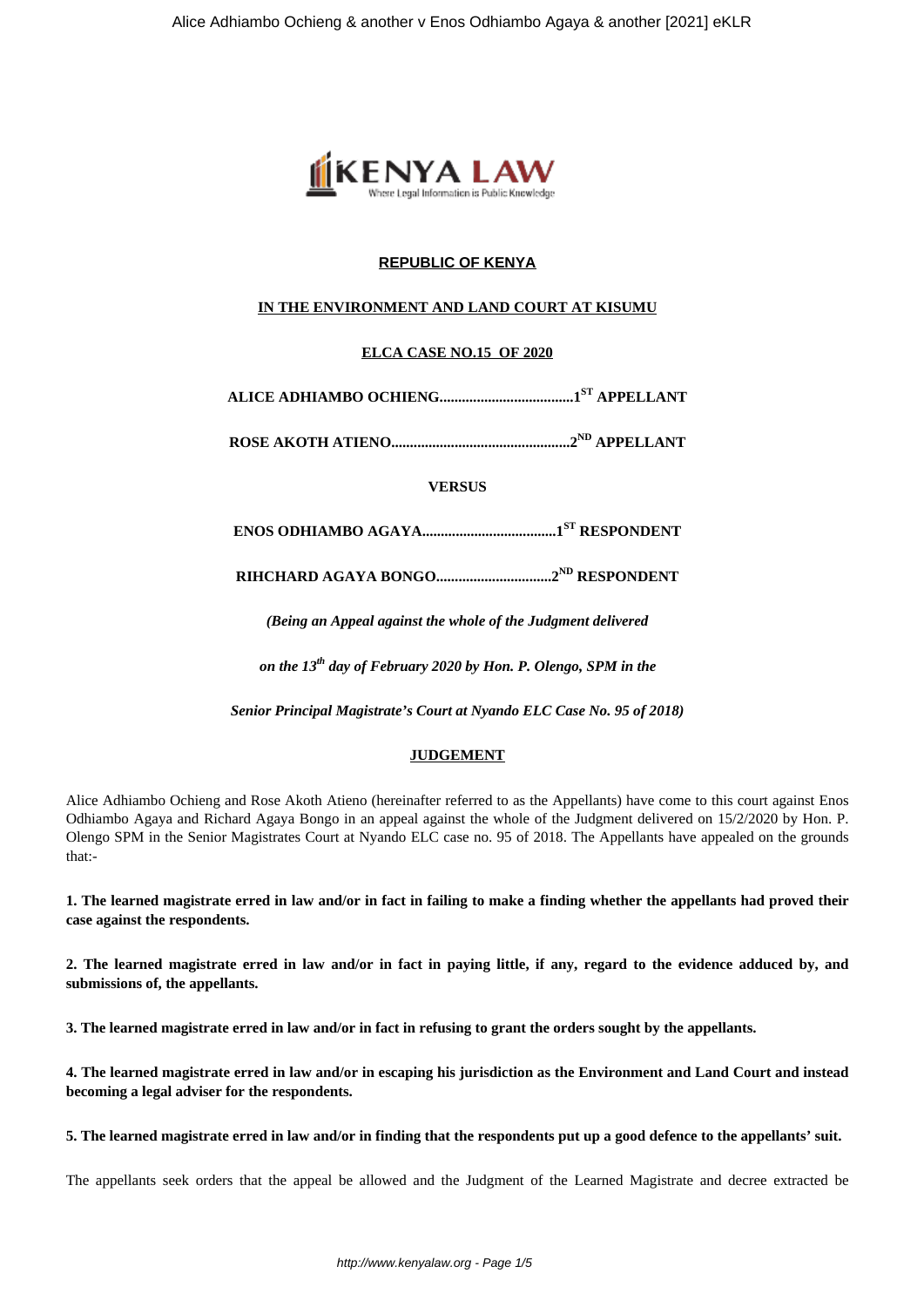

## **REPUBLIC OF KENYA**

#### **IN THE ENVIRONMENT AND LAND COURT AT KISUMU**

## **ELCA CASE NO.15 OF 2020**

**ALICE ADHIAMBO OCHIENG....................................1ST APPELLANT**

**ROSE AKOTH ATIENO................................................2ND APPELLANT**

**VERSUS**

**ENOS ODHIAMBO AGAYA....................................1ST RESPONDENT**

**RIHCHARD AGAYA BONGO...............................2ND RESPONDENT**

*(Being an Appeal against the whole of the Judgment delivered*

*on the 13th day of February 2020 by Hon. P. Olengo, SPM in the*

*Senior Principal Magistrate's Court at Nyando ELC Case No. 95 of 2018)*

#### **JUDGEMENT**

Alice Adhiambo Ochieng and Rose Akoth Atieno (hereinafter referred to as the Appellants) have come to this court against Enos Odhiambo Agaya and Richard Agaya Bongo in an appeal against the whole of the Judgment delivered on 15/2/2020 by Hon. P. Olengo SPM in the Senior Magistrates Court at Nyando ELC case no. 95 of 2018. The Appellants have appealed on the grounds that:-

**1. The learned magistrate erred in law and/or in fact in failing to make a finding whether the appellants had proved their case against the respondents.**

**2. The learned magistrate erred in law and/or in fact in paying little, if any, regard to the evidence adduced by, and submissions of, the appellants.**

**3. The learned magistrate erred in law and/or in fact in refusing to grant the orders sought by the appellants.**

**4. The learned magistrate erred in law and/or in escaping his jurisdiction as the Environment and Land Court and instead becoming a legal adviser for the respondents.**

**5. The learned magistrate erred in law and/or in finding that the respondents put up a good defence to the appellants' suit.**

The appellants seek orders that the appeal be allowed and the Judgment of the Learned Magistrate and decree extracted be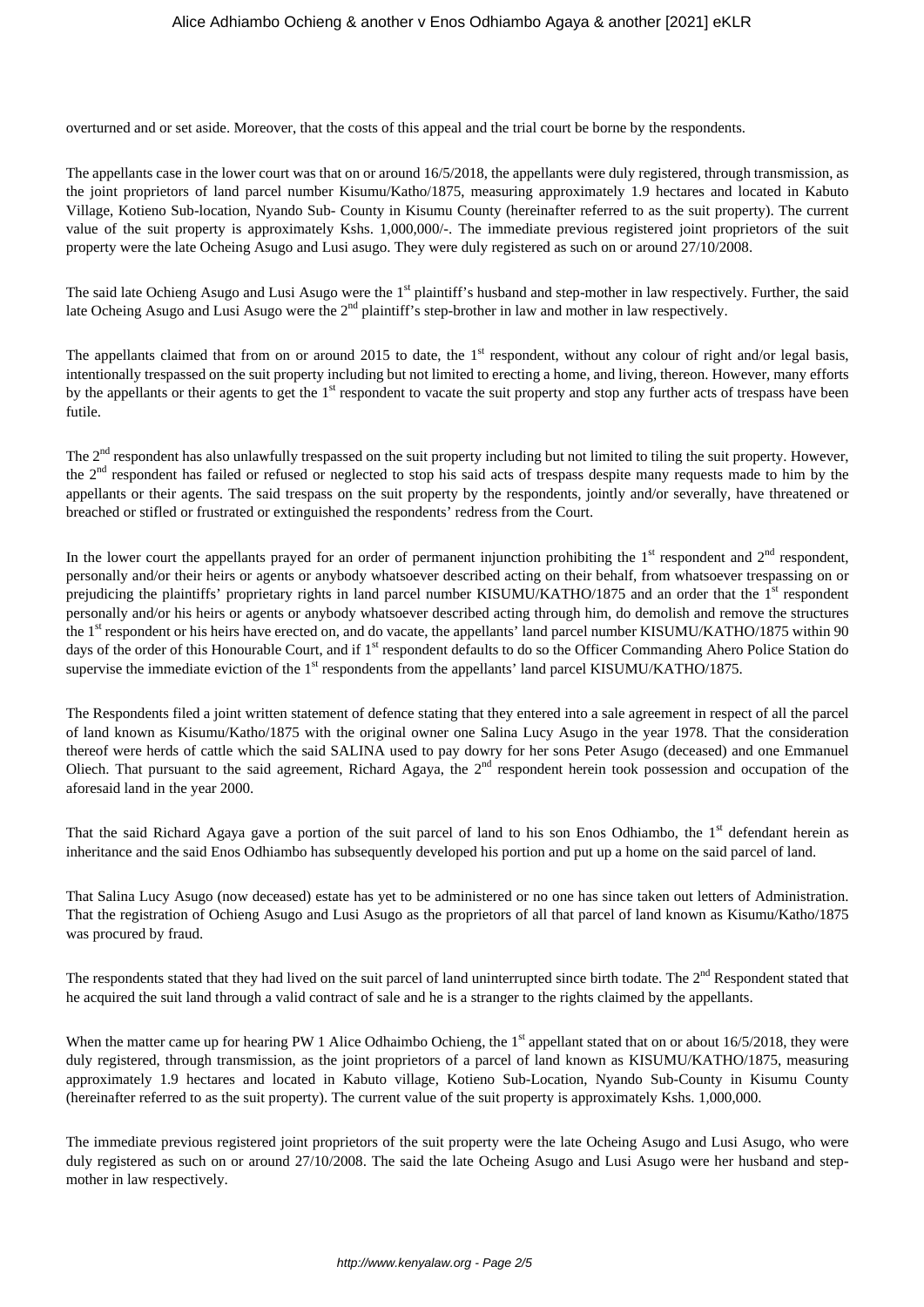overturned and or set aside. Moreover, that the costs of this appeal and the trial court be borne by the respondents.

The appellants case in the lower court was that on or around 16/5/2018, the appellants were duly registered, through transmission, as the joint proprietors of land parcel number Kisumu/Katho/1875, measuring approximately 1.9 hectares and located in Kabuto Village, Kotieno Sub-location, Nyando Sub- County in Kisumu County (hereinafter referred to as the suit property). The current value of the suit property is approximately Kshs. 1,000,000/-. The immediate previous registered joint proprietors of the suit property were the late Ocheing Asugo and Lusi asugo. They were duly registered as such on or around 27/10/2008.

The said late Ochieng Asugo and Lusi Asugo were the 1<sup>st</sup> plaintiff's husband and step-mother in law respectively. Further, the said late Ocheing Asugo and Lusi Asugo were the  $2<sup>nd</sup>$  plaintiff's step-brother in law and mother in law respectively.

The appellants claimed that from on or around 2015 to date, the  $1<sup>st</sup>$  respondent, without any colour of right and/or legal basis, intentionally trespassed on the suit property including but not limited to erecting a home, and living, thereon. However, many efforts by the appellants or their agents to get the 1<sup>st</sup> respondent to vacate the suit property and stop any further acts of trespass have been futile.

The  $2<sup>nd</sup>$  respondent has also unlawfully trespassed on the suit property including but not limited to tiling the suit property. However, the 2nd respondent has failed or refused or neglected to stop his said acts of trespass despite many requests made to him by the appellants or their agents. The said trespass on the suit property by the respondents, jointly and/or severally, have threatened or breached or stifled or frustrated or extinguished the respondents' redress from the Court.

In the lower court the appellants prayed for an order of permanent injunction prohibiting the  $1<sup>st</sup>$  respondent and  $2<sup>nd</sup>$  respondent, personally and/or their heirs or agents or anybody whatsoever described acting on their behalf, from whatsoever trespassing on or prejudicing the plaintiffs' proprietary rights in land parcel number KISUMU/KATHO/1875 and an order that the 1<sup>st</sup> respondent personally and/or his heirs or agents or anybody whatsoever described acting through him, do demolish and remove the structures the 1<sup>st</sup> respondent or his heirs have erected on, and do vacate, the appellants' land parcel number KISUMU/KATHO/1875 within 90 days of the order of this Honourable Court, and if 1<sup>st</sup> respondent defaults to do so the Officer Commanding Ahero Police Station do supervise the immediate eviction of the 1<sup>st</sup> respondents from the appellants' land parcel KISUMU/KATHO/1875.

The Respondents filed a joint written statement of defence stating that they entered into a sale agreement in respect of all the parcel of land known as Kisumu/Katho/1875 with the original owner one Salina Lucy Asugo in the year 1978. That the consideration thereof were herds of cattle which the said SALINA used to pay dowry for her sons Peter Asugo (deceased) and one Emmanuel Oliech. That pursuant to the said agreement, Richard Agaya, the  $2<sup>nd</sup>$  respondent herein took possession and occupation of the aforesaid land in the year 2000.

That the said Richard Agaya gave a portion of the suit parcel of land to his son Enos Odhiambo, the 1<sup>st</sup> defendant herein as inheritance and the said Enos Odhiambo has subsequently developed his portion and put up a home on the said parcel of land.

That Salina Lucy Asugo (now deceased) estate has yet to be administered or no one has since taken out letters of Administration. That the registration of Ochieng Asugo and Lusi Asugo as the proprietors of all that parcel of land known as Kisumu/Katho/1875 was procured by fraud.

The respondents stated that they had lived on the suit parcel of land uninterrupted since birth todate. The  $2<sup>nd</sup>$  Respondent stated that he acquired the suit land through a valid contract of sale and he is a stranger to the rights claimed by the appellants.

When the matter came up for hearing PW 1 Alice Odhaimbo Ochieng, the  $1<sup>st</sup>$  appellant stated that on or about  $16/5/2018$ , they were duly registered, through transmission, as the joint proprietors of a parcel of land known as KISUMU/KATHO/1875, measuring approximately 1.9 hectares and located in Kabuto village, Kotieno Sub-Location, Nyando Sub-County in Kisumu County (hereinafter referred to as the suit property). The current value of the suit property is approximately Kshs. 1,000,000.

The immediate previous registered joint proprietors of the suit property were the late Ocheing Asugo and Lusi Asugo, who were duly registered as such on or around 27/10/2008. The said the late Ocheing Asugo and Lusi Asugo were her husband and stepmother in law respectively.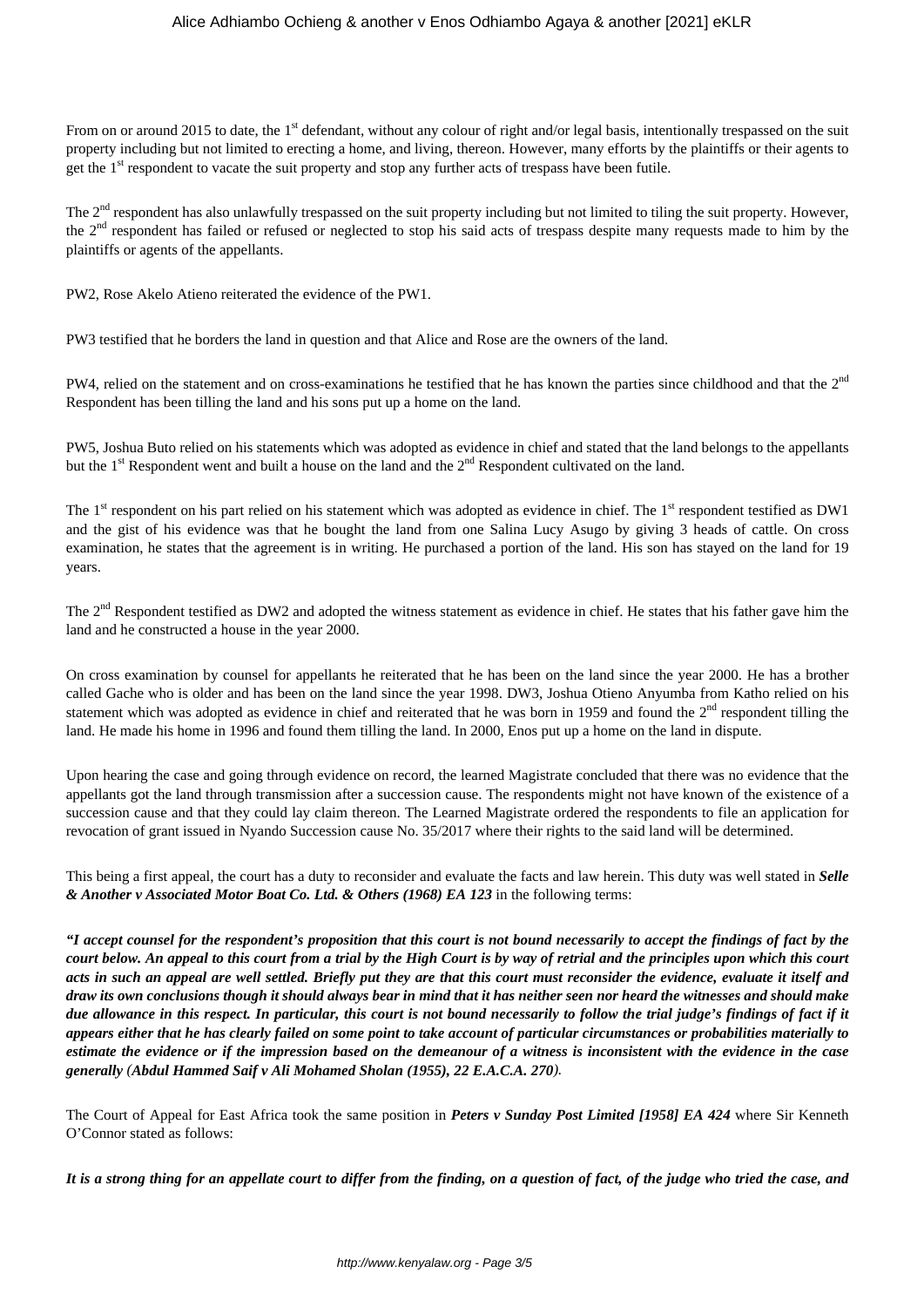## Alice Adhiambo Ochieng & another v Enos Odhiambo Agaya & another [2021] eKLR

From on or around 2015 to date, the 1<sup>st</sup> defendant, without any colour of right and/or legal basis, intentionally trespassed on the suit property including but not limited to erecting a home, and living, thereon. However, many efforts by the plaintiffs or their agents to get the 1<sup>st</sup> respondent to vacate the suit property and stop any further acts of trespass have been futile.

The 2<sup>nd</sup> respondent has also unlawfully trespassed on the suit property including but not limited to tiling the suit property. However, the 2nd respondent has failed or refused or neglected to stop his said acts of trespass despite many requests made to him by the plaintiffs or agents of the appellants.

PW2, Rose Akelo Atieno reiterated the evidence of the PW1.

PW3 testified that he borders the land in question and that Alice and Rose are the owners of the land.

PW4, relied on the statement and on cross-examinations he testified that he has known the parties since childhood and that the  $2<sup>nd</sup>$ Respondent has been tilling the land and his sons put up a home on the land.

PW5, Joshua Buto relied on his statements which was adopted as evidence in chief and stated that the land belongs to the appellants but the 1<sup>st</sup> Respondent went and built a house on the land and the 2<sup>nd</sup> Respondent cultivated on the land.

The  $1<sup>st</sup>$  respondent on his part relied on his statement which was adopted as evidence in chief. The  $1<sup>st</sup>$  respondent testified as DW1 and the gist of his evidence was that he bought the land from one Salina Lucy Asugo by giving 3 heads of cattle. On cross examination, he states that the agreement is in writing. He purchased a portion of the land. His son has stayed on the land for 19 years.

The 2<sup>nd</sup> Respondent testified as DW2 and adopted the witness statement as evidence in chief. He states that his father gave him the land and he constructed a house in the year 2000.

On cross examination by counsel for appellants he reiterated that he has been on the land since the year 2000. He has a brother called Gache who is older and has been on the land since the year 1998. DW3, Joshua Otieno Anyumba from Katho relied on his statement which was adopted as evidence in chief and reiterated that he was born in 1959 and found the  $2<sup>nd</sup>$  respondent tilling the land. He made his home in 1996 and found them tilling the land. In 2000, Enos put up a home on the land in dispute.

Upon hearing the case and going through evidence on record, the learned Magistrate concluded that there was no evidence that the appellants got the land through transmission after a succession cause. The respondents might not have known of the existence of a succession cause and that they could lay claim thereon. The Learned Magistrate ordered the respondents to file an application for revocation of grant issued in Nyando Succession cause No. 35/2017 where their rights to the said land will be determined.

This being a first appeal, the court has a duty to reconsider and evaluate the facts and law herein. This duty was well stated in *Selle & Another v Associated Motor Boat Co. Ltd. & Others (1968) EA 123* in the following terms:

*"I accept counsel for the respondent's proposition that this court is not bound necessarily to accept the findings of fact by the court below. An appeal to this court from a trial by the High Court is by way of retrial and the principles upon which this court acts in such an appeal are well settled. Briefly put they are that this court must reconsider the evidence, evaluate it itself and draw its own conclusions though it should always bear in mind that it has neither seen nor heard the witnesses and should make due allowance in this respect. In particular, this court is not bound necessarily to follow the trial judge's findings of fact if it appears either that he has clearly failed on some point to take account of particular circumstances or probabilities materially to estimate the evidence or if the impression based on the demeanour of a witness is inconsistent with the evidence in the case generally (Abdul Hammed Saif v Ali Mohamed Sholan (1955), 22 E.A.C.A. 270).*

The Court of Appeal for East Africa took the same position in *Peters v Sunday Post Limited [1958] EA 424* where Sir Kenneth O'Connor stated as follows:

*It is a strong thing for an appellate court to differ from the finding, on a question of fact, of the judge who tried the case, and*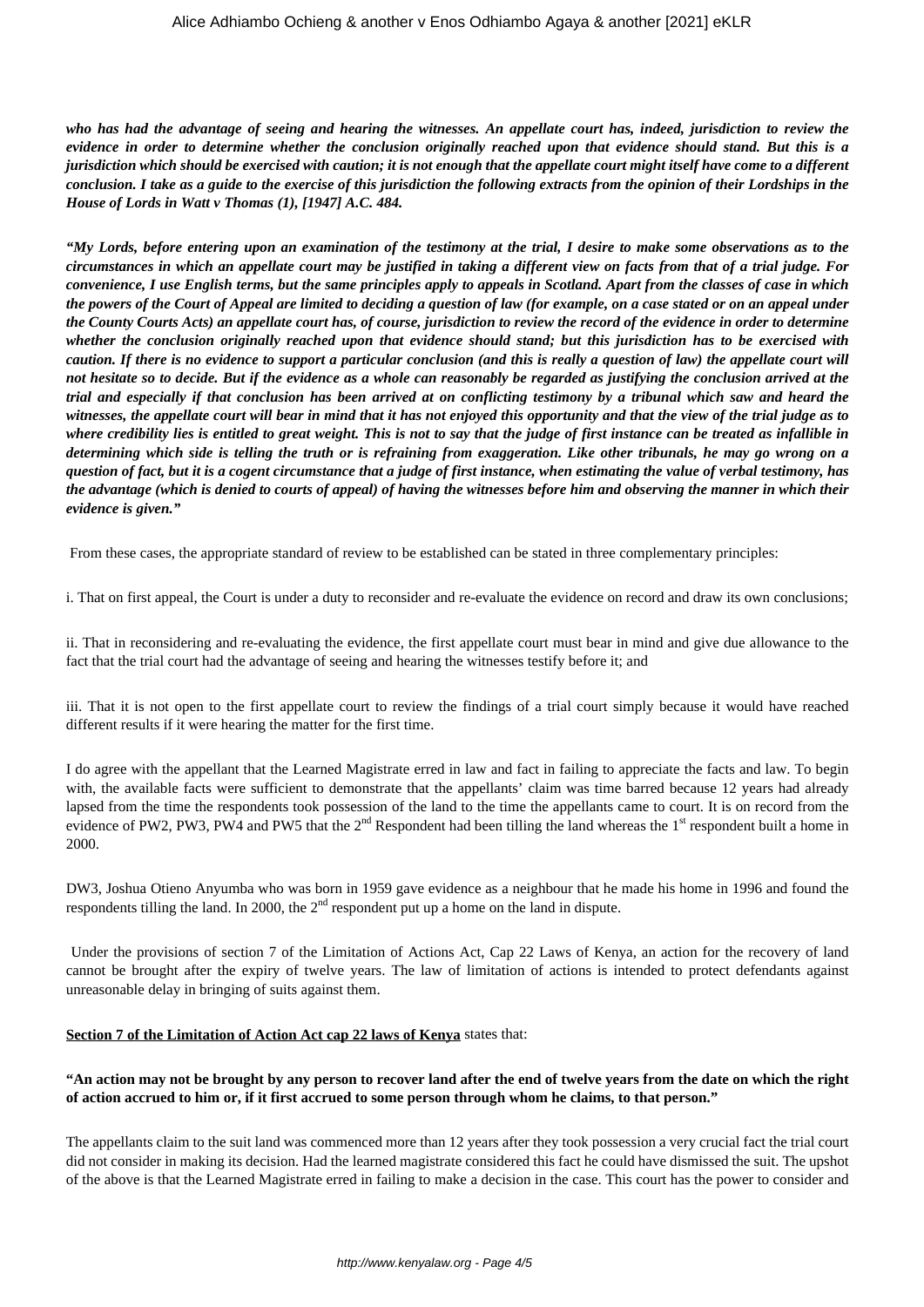*who has had the advantage of seeing and hearing the witnesses. An appellate court has, indeed, jurisdiction to review the evidence in order to determine whether the conclusion originally reached upon that evidence should stand. But this is a jurisdiction which should be exercised with caution; it is not enough that the appellate court might itself have come to a different conclusion. I take as a guide to the exercise of this jurisdiction the following extracts from the opinion of their Lordships in the House of Lords in Watt v Thomas (1), [1947] A.C. 484.*

*"My Lords, before entering upon an examination of the testimony at the trial, I desire to make some observations as to the circumstances in which an appellate court may be justified in taking a different view on facts from that of a trial judge. For convenience, I use English terms, but the same principles apply to appeals in Scotland. Apart from the classes of case in which the powers of the Court of Appeal are limited to deciding a question of law (for example, on a case stated or on an appeal under the County Courts Acts) an appellate court has, of course, jurisdiction to review the record of the evidence in order to determine whether the conclusion originally reached upon that evidence should stand; but this jurisdiction has to be exercised with caution. If there is no evidence to support a particular conclusion (and this is really a question of law) the appellate court will not hesitate so to decide. But if the evidence as a whole can reasonably be regarded as justifying the conclusion arrived at the trial and especially if that conclusion has been arrived at on conflicting testimony by a tribunal which saw and heard the witnesses, the appellate court will bear in mind that it has not enjoyed this opportunity and that the view of the trial judge as to where credibility lies is entitled to great weight. This is not to say that the judge of first instance can be treated as infallible in determining which side is telling the truth or is refraining from exaggeration. Like other tribunals, he may go wrong on a question of fact, but it is a cogent circumstance that a judge of first instance, when estimating the value of verbal testimony, has the advantage (which is denied to courts of appeal) of having the witnesses before him and observing the manner in which their evidence is given."*

From these cases, the appropriate standard of review to be established can be stated in three complementary principles:

i. That on first appeal, the Court is under a duty to reconsider and re-evaluate the evidence on record and draw its own conclusions;

ii. That in reconsidering and re-evaluating the evidence, the first appellate court must bear in mind and give due allowance to the fact that the trial court had the advantage of seeing and hearing the witnesses testify before it; and

iii. That it is not open to the first appellate court to review the findings of a trial court simply because it would have reached different results if it were hearing the matter for the first time.

I do agree with the appellant that the Learned Magistrate erred in law and fact in failing to appreciate the facts and law. To begin with, the available facts were sufficient to demonstrate that the appellants' claim was time barred because 12 years had already lapsed from the time the respondents took possession of the land to the time the appellants came to court. It is on record from the evidence of PW2, PW3, PW4 and PW5 that the  $2<sup>nd</sup>$  Respondent had been tilling the land whereas the  $1<sup>st</sup>$  respondent built a home in 2000.

DW3, Joshua Otieno Anyumba who was born in 1959 gave evidence as a neighbour that he made his home in 1996 and found the respondents tilling the land. In 2000, the 2<sup>nd</sup> respondent put up a home on the land in dispute.

Under the provisions of section 7 of the Limitation of Actions Act, Cap 22 Laws of Kenya, an action for the recovery of land cannot be brought after the expiry of twelve years. The law of limitation of actions is intended to protect defendants against unreasonable delay in bringing of suits against them.

#### **Section 7 of the Limitation of Action Act cap 22 laws of Kenya** states that:

#### **"An action may not be brought by any person to recover land after the end of twelve years from the date on which the right of action accrued to him or, if it first accrued to some person through whom he claims, to that person."**

The appellants claim to the suit land was commenced more than 12 years after they took possession a very crucial fact the trial court did not consider in making its decision. Had the learned magistrate considered this fact he could have dismissed the suit. The upshot of the above is that the Learned Magistrate erred in failing to make a decision in the case. This court has the power to consider and